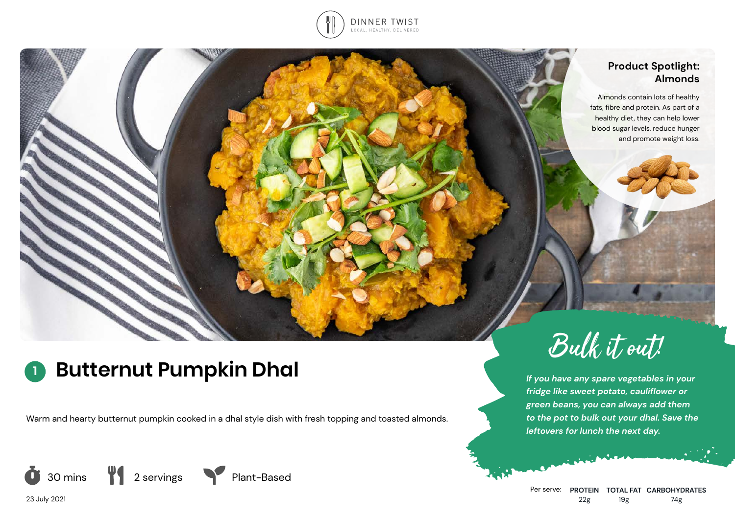

#### **Product Spotlight: Almonds**

Almonds contain lots of healthy fats, fibre and protein. As part of a healthy diet, they can help lower blood sugar levels, reduce hunger and promote weight loss.

# **<sup>1</sup> Butternut Pumpkin Dhal**

Warm and hearty butternut pumpkin cooked in a dhal style dish with fresh topping and toasted almonds.





*If you have any spare vegetables in your fridge like sweet potato, cauliflower or green beans, you can always add them to the pot to bulk out your dhal. Save the leftovers for lunch the next day.*